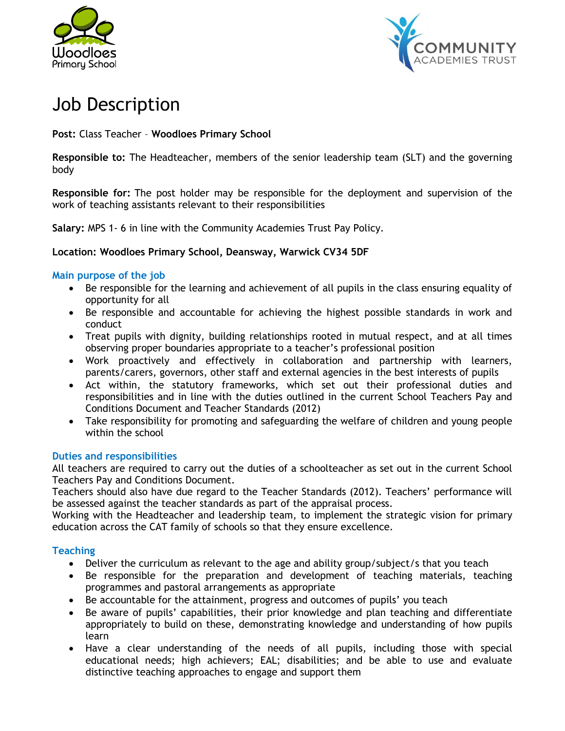



## Job Description

#### **Post:** Class Teacher – **Woodloes Primary School**

**Responsible to:** The Headteacher, members of the senior leadership team (SLT) and the governing body

**Responsible for:** The post holder may be responsible for the deployment and supervision of the work of teaching assistants relevant to their responsibilities

**Salary:** MPS 1- 6 in line with the Community Academies Trust Pay Policy.

**Location: Woodloes Primary School, Deansway, Warwick CV34 5DF**

#### **Main purpose of the job**

- Be responsible for the learning and achievement of all pupils in the class ensuring equality of opportunity for all
- Be responsible and accountable for achieving the highest possible standards in work and conduct
- Treat pupils with dignity, building relationships rooted in mutual respect, and at all times observing proper boundaries appropriate to a teacher's professional position
- Work proactively and effectively in collaboration and partnership with learners, parents/carers, governors, other staff and external agencies in the best interests of pupils
- Act within, the statutory frameworks, which set out their professional duties and responsibilities and in line with the duties outlined in the current School Teachers Pay and Conditions Document and Teacher Standards (2012)
- Take responsibility for promoting and safeguarding the welfare of children and young people within the school

#### **Duties and responsibilities**

All teachers are required to carry out the duties of a schoolteacher as set out in the current School Teachers Pay and Conditions Document.

Teachers should also have due regard to the Teacher Standards (2012). Teachers' performance will be assessed against the teacher standards as part of the appraisal process.

Working with the Headteacher and leadership team, to implement the strategic vision for primary education across the CAT family of schools so that they ensure excellence.

#### **Teaching**

- Deliver the curriculum as relevant to the age and ability group/subject/s that you teach
- Be responsible for the preparation and development of teaching materials, teaching programmes and pastoral arrangements as appropriate
- Be accountable for the attainment, progress and outcomes of pupils' you teach
- Be aware of pupils' capabilities, their prior knowledge and plan teaching and differentiate appropriately to build on these, demonstrating knowledge and understanding of how pupils learn
- Have a clear understanding of the needs of all pupils, including those with special educational needs; high achievers; EAL; disabilities; and be able to use and evaluate distinctive teaching approaches to engage and support them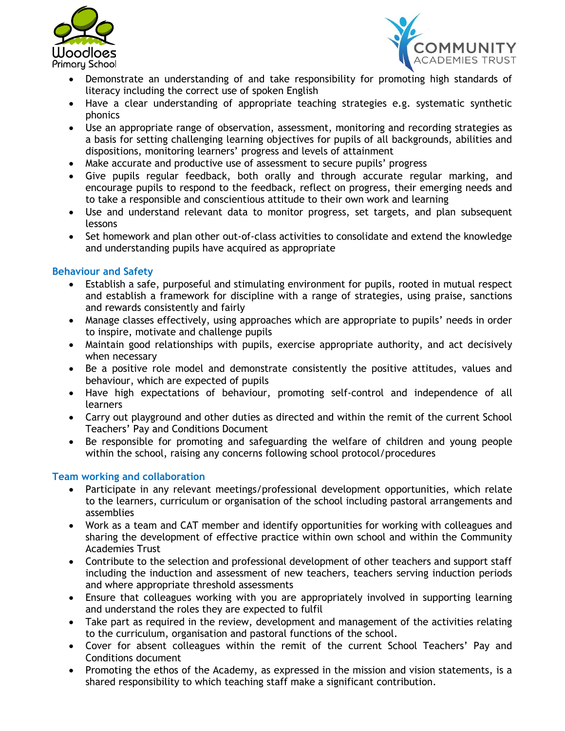



- Demonstrate an understanding of and take responsibility for promoting high standards of literacy including the correct use of spoken English
- Have a clear understanding of appropriate teaching strategies e.g. systematic synthetic phonics
- Use an appropriate range of observation, assessment, monitoring and recording strategies as a basis for setting challenging learning objectives for pupils of all backgrounds, abilities and dispositions, monitoring learners' progress and levels of attainment
- Make accurate and productive use of assessment to secure pupils' progress
- Give pupils regular feedback, both orally and through accurate regular marking, and encourage pupils to respond to the feedback, reflect on progress, their emerging needs and to take a responsible and conscientious attitude to their own work and learning
- Use and understand relevant data to monitor progress, set targets, and plan subsequent lessons
- Set homework and plan other out-of-class activities to consolidate and extend the knowledge and understanding pupils have acquired as appropriate

#### **Behaviour and Safety**

- Establish a safe, purposeful and stimulating environment for pupils, rooted in mutual respect and establish a framework for discipline with a range of strategies, using praise, sanctions and rewards consistently and fairly
- Manage classes effectively, using approaches which are appropriate to pupils' needs in order to inspire, motivate and challenge pupils
- Maintain good relationships with pupils, exercise appropriate authority, and act decisively when necessary
- Be a positive role model and demonstrate consistently the positive attitudes, values and behaviour, which are expected of pupils
- Have high expectations of behaviour, promoting self-control and independence of all learners
- Carry out playground and other duties as directed and within the remit of the current School Teachers' Pay and Conditions Document
- Be responsible for promoting and safeguarding the welfare of children and young people within the school, raising any concerns following school protocol/procedures

#### **Team working and collaboration**

- Participate in any relevant meetings/professional development opportunities, which relate to the learners, curriculum or organisation of the school including pastoral arrangements and assemblies
- Work as a team and CAT member and identify opportunities for working with colleagues and sharing the development of effective practice within own school and within the Community Academies Trust
- Contribute to the selection and professional development of other teachers and support staff including the induction and assessment of new teachers, teachers serving induction periods and where appropriate threshold assessments
- Ensure that colleagues working with you are appropriately involved in supporting learning and understand the roles they are expected to fulfil
- Take part as required in the review, development and management of the activities relating to the curriculum, organisation and pastoral functions of the school.
- Cover for absent colleagues within the remit of the current School Teachers' Pay and Conditions document
- Promoting the ethos of the Academy, as expressed in the mission and vision statements, is a shared responsibility to which teaching staff make a significant contribution.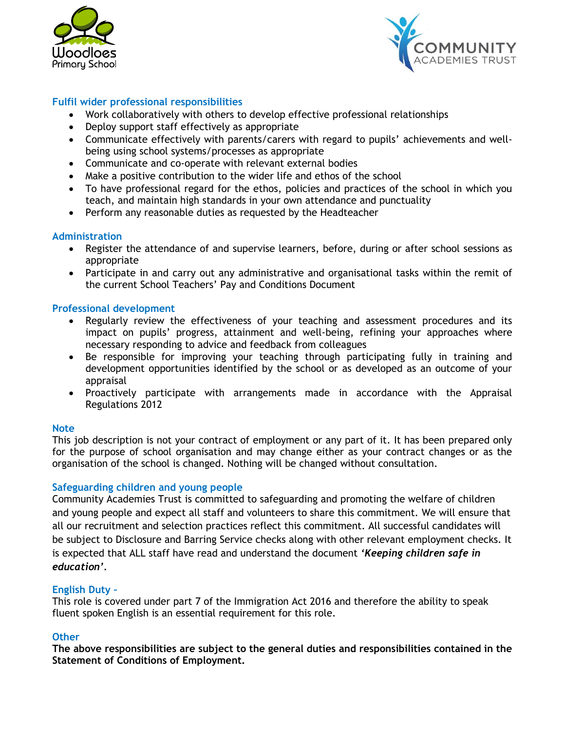



## **Fulfil wider professional responsibilities**

- Work collaboratively with others to develop effective professional relationships
- Deploy support staff effectively as appropriate
- Communicate effectively with parents/carers with regard to pupils' achievements and wellbeing using school systems/processes as appropriate
- Communicate and co-operate with relevant external bodies
- Make a positive contribution to the wider life and ethos of the school
- To have professional regard for the ethos, policies and practices of the school in which you teach, and maintain high standards in your own attendance and punctuality
- Perform any reasonable duties as requested by the Headteacher

#### **Administration**

- Register the attendance of and supervise learners, before, during or after school sessions as appropriate
- Participate in and carry out any administrative and organisational tasks within the remit of the current School Teachers' Pay and Conditions Document

#### **Professional development**

- Regularly review the effectiveness of your teaching and assessment procedures and its impact on pupils' progress, attainment and well-being, refining your approaches where necessary responding to advice and feedback from colleagues
- Be responsible for improving your teaching through participating fully in training and development opportunities identified by the school or as developed as an outcome of your appraisal
- Proactively participate with arrangements made in accordance with the Appraisal Regulations 2012

#### **Note**

This job description is not your contract of employment or any part of it. It has been prepared only for the purpose of school organisation and may change either as your contract changes or as the organisation of the school is changed. Nothing will be changed without consultation.

#### **Safeguarding children and young people**

Community Academies Trust is committed to safeguarding and promoting the welfare of children and young people and expect all staff and volunteers to share this commitment. We will ensure that all our recruitment and selection practices reflect this commitment. All successful candidates will be subject to Disclosure and Barring Service checks along with other relevant employment checks. It is expected that ALL staff have read and understand the document *'Keeping children safe in education'.*

#### **English Duty –**

This role is covered under part 7 of the Immigration Act 2016 and therefore the ability to speak fluent spoken English is an essential requirement for this role.

#### **Other**

**The above responsibilities are subject to the general duties and responsibilities contained in the Statement of Conditions of Employment.**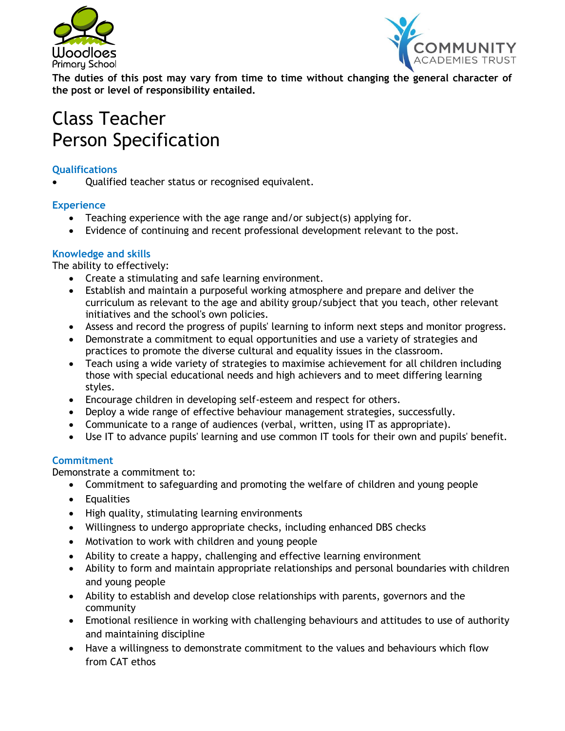



**The duties of this post may vary from time to time without changing the general character of the post or level of responsibility entailed.**

# Class Teacher Person Specification

## **Qualifications**

• Qualified teacher status or recognised equivalent.

## **Experience**

- Teaching experience with the age range and/or subject(s) applying for.
- Evidence of continuing and recent professional development relevant to the post.

## **Knowledge and skills**

The ability to effectively:

- Create a stimulating and safe learning environment.
- Establish and maintain a purposeful working atmosphere and prepare and deliver the curriculum as relevant to the age and ability group/subject that you teach, other relevant initiatives and the school's own policies.
- Assess and record the progress of pupils' learning to inform next steps and monitor progress.
- Demonstrate a commitment to equal opportunities and use a variety of strategies and practices to promote the diverse cultural and equality issues in the classroom.
- Teach using a wide variety of strategies to maximise achievement for all children including those with special educational needs and high achievers and to meet differing learning styles.
- Encourage children in developing self-esteem and respect for others.
- Deploy a wide range of effective behaviour management strategies, successfully.
- Communicate to a range of audiences (verbal, written, using IT as appropriate).
- Use IT to advance pupils' learning and use common IT tools for their own and pupils' benefit.

#### **Commitment**

Demonstrate a commitment to:

- Commitment to safeguarding and promoting the welfare of children and young people
- Equalities
- High quality, stimulating learning environments
- Willingness to undergo appropriate checks, including enhanced DBS checks
- Motivation to work with children and young people
- Ability to create a happy, challenging and effective learning environment
- Ability to form and maintain appropriate relationships and personal boundaries with children and young people
- Ability to establish and develop close relationships with parents, governors and the community
- Emotional resilience in working with challenging behaviours and attitudes to use of authority and maintaining discipline
- Have a willingness to demonstrate commitment to the values and behaviours which flow from CAT ethos